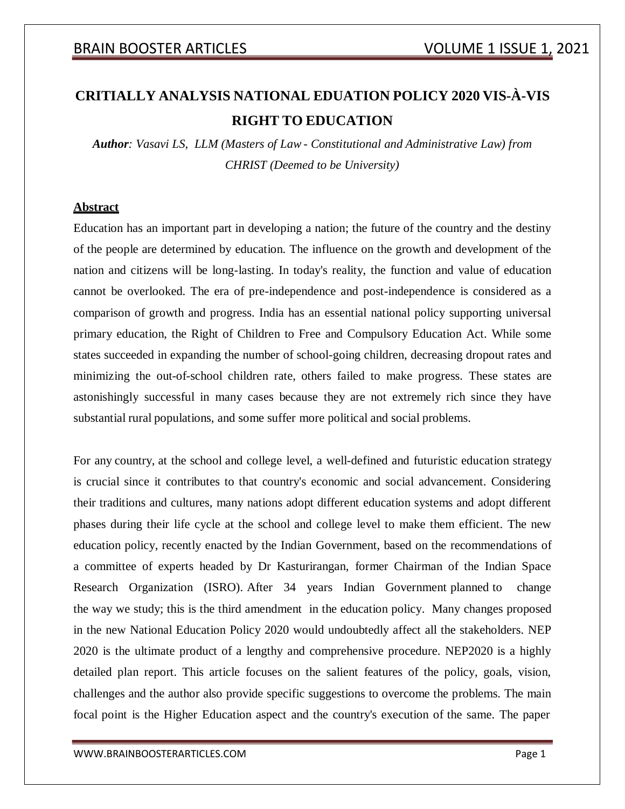# **CRITIALLY ANALYSIS NATIONAL EDUATION POLICY 2020 VIS-À-VIS RIGHT TO EDUCATION**

*Author: Vasavi LS, LLM (Masters of Law - Constitutional and Administrative Law) from CHRIST (Deemed to be University)*

## **Abstract**

Education has an important part in developing a nation; the future of the country and the destiny of the people are determined by education. The influence on the growth and development of the nation and citizens will be long-lasting. In today's reality, the function and value of education cannot be overlooked. The era of pre-independence and post-independence is considered as a comparison of growth and progress. India has an essential national policy supporting universal primary education, the Right of Children to Free and Compulsory Education Act. While some states succeeded in expanding the number of school-going children, decreasing dropout rates and minimizing the out-of-school children rate, others failed to make progress. These states are astonishingly successful in many cases because they are not extremely rich since they have substantial rural populations, and some suffer more political and social problems.

For any country, at the school and college level, a well-defined and futuristic education strategy is crucial since it contributes to that country's economic and social advancement. Considering their traditions and cultures, many nations adopt different education systems and adopt different phases during their life cycle at the school and college level to make them efficient. The new education policy, recently enacted by the Indian Government, based on the recommendations of a committee of experts headed by Dr Kasturirangan, former Chairman of the Indian Space Research Organization (ISRO). After 34 years Indian Government planned to change the way we study; this is the third amendment in the education policy. Many changes proposed in the new National Education Policy 2020 would undoubtedly affect all the stakeholders. NEP 2020 is the ultimate product of a lengthy and comprehensive procedure. NEP2020 is a highly detailed plan report. This article focuses on the salient features of the policy, goals, vision, challenges and the author also provide specific suggestions to overcome the problems. The main focal point is the Higher Education aspect and the country's execution of the same. The paper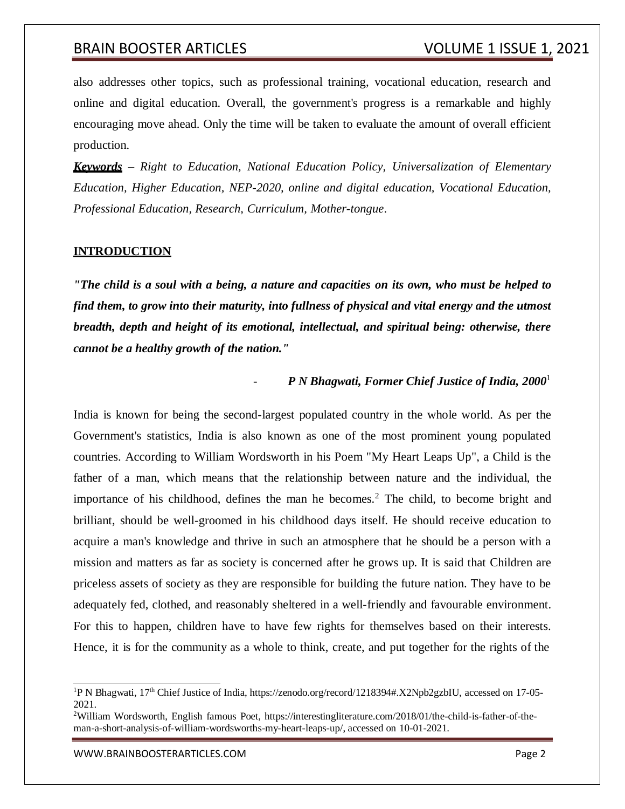also addresses other topics, such as professional training, vocational education, research and online and digital education. Overall, the government's progress is a remarkable and highly encouraging move ahead. Only the time will be taken to evaluate the amount of overall efficient production.

*Keywords – Right to Education, National Education Policy, Universalization of Elementary Education, Higher Education, NEP-2020, online and digital education, Vocational Education, Professional Education, Research, Curriculum, Mother-tongue*.

#### **INTRODUCTION**

*"The child is a soul with a being, a nature and capacities on its own, who must be helped to find them, to grow into their maturity, into fullness of physical and vital energy and the utmost breadth, depth and height of its emotional, intellectual, and spiritual being: otherwise, there cannot be a healthy growth of the nation."*

#### - *P N Bhagwati, Former Chief Justice of India, 2000*<sup>1</sup>

India is known for being the second-largest populated country in the whole world. As per the Government's statistics, India is also known as one of the most prominent young populated countries. According to William Wordsworth in his Poem "My Heart Leaps Up", a Child is the father of a man, which means that the relationship between nature and the individual, the importance of his childhood, defines the man he becomes.<sup>2</sup> The child, to become bright and brilliant, should be well-groomed in his childhood days itself. He should receive education to acquire a man's knowledge and thrive in such an atmosphere that he should be a person with a mission and matters as far as society is concerned after he grows up. It is said that Children are priceless assets of society as they are responsible for building the future nation. They have to be adequately fed, clothed, and reasonably sheltered in a well-friendly and favourable environment. For this to happen, children have to have few rights for themselves based on their interests. Hence, it is for the community as a whole to think, create, and put together for the rights of the

<sup>&</sup>lt;sup>1</sup>P N Bhagwati, 17<sup>th</sup> Chief Justice of India, https://zenodo.org/record/1218394#.X2Npb2gzbIU, accessed on 17-05-2021.

<sup>2</sup>William Wordsworth, English famous Poet, https://interestingliterature.com/2018/01/the-child-is-father-of-theman-a-short-analysis-of-william-wordsworths-my-heart-leaps-up/, accessed on 10-01-2021.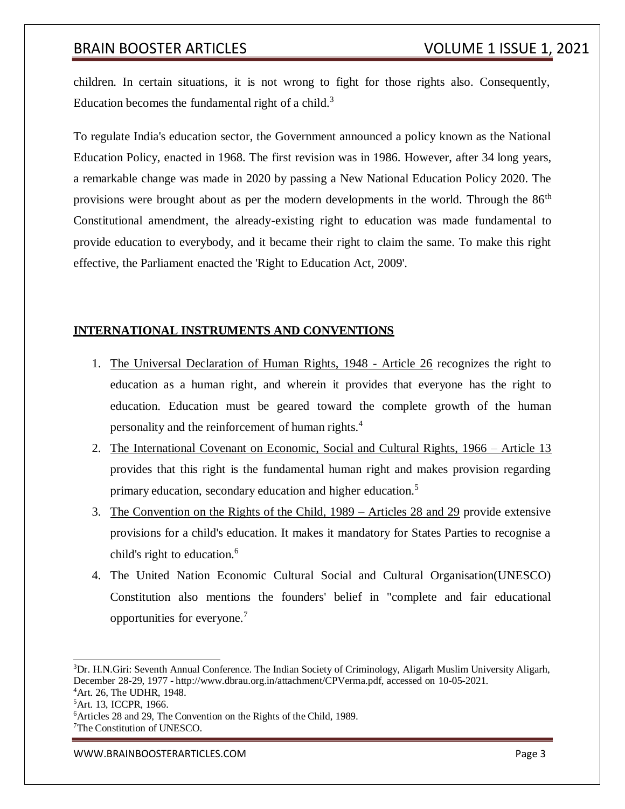children. In certain situations, it is not wrong to fight for those rights also. Consequently, Education becomes the fundamental right of a child. $3$ 

To regulate India's education sector, the Government announced a policy known as the National Education Policy, enacted in 1968. The first revision was in 1986. However, after 34 long years, a remarkable change was made in 2020 by passing a New National Education Policy 2020. The provisions were brought about as per the modern developments in the world. Through the 86<sup>th</sup> Constitutional amendment, the already-existing right to education was made fundamental to provide education to everybody, and it became their right to claim the same. To make this right effective, the Parliament enacted the 'Right to Education Act, 2009'.

## **INTERNATIONAL INSTRUMENTS AND CONVENTIONS**

- 1. The Universal Declaration of Human Rights, 1948 Article 26 recognizes the right to education as a human right, and wherein it provides that everyone has the right to education. Education must be geared toward the complete growth of the human personality and the reinforcement of human rights.<sup>4</sup>
- 2. The International Covenant on Economic, Social and Cultural Rights, 1966 Article 13 provides that this right is the fundamental human right and makes provision regarding primary education, secondary education and higher education.<sup>5</sup>
- 3. The Convention on the Rights of the Child, 1989 Articles 28 and 29 provide extensive provisions for a child's education. It makes it mandatory for States Parties to recognise a child's right to education.<sup>6</sup>
- 4. The United Nation Economic Cultural Social and Cultural Organisation(UNESCO) Constitution also mentions the founders' belief in "complete and fair educational opportunities for everyone.<sup>7</sup>

<sup>&</sup>lt;sup>3</sup>Dr. H.N.Giri: Seventh Annual Conference. The Indian Society of Criminology, Aligarh Muslim University Aligarh, December 28-29, 1977 - [http://www.dbrau.org.in/attachment/CPVerma.pdf,](http://www.dbrau.org.in/attachment/CPVerma.pdf) accessed on 10-05-2021.

<sup>4</sup>Art. 26, The UDHR, 1948.

<sup>5</sup>Art. 13, ICCPR, 1966.

<sup>&</sup>lt;sup>6</sup>Articles 28 and 29, The Convention on the Rights of the Child, 1989.

<sup>&</sup>lt;sup>7</sup>The Constitution of UNESCO.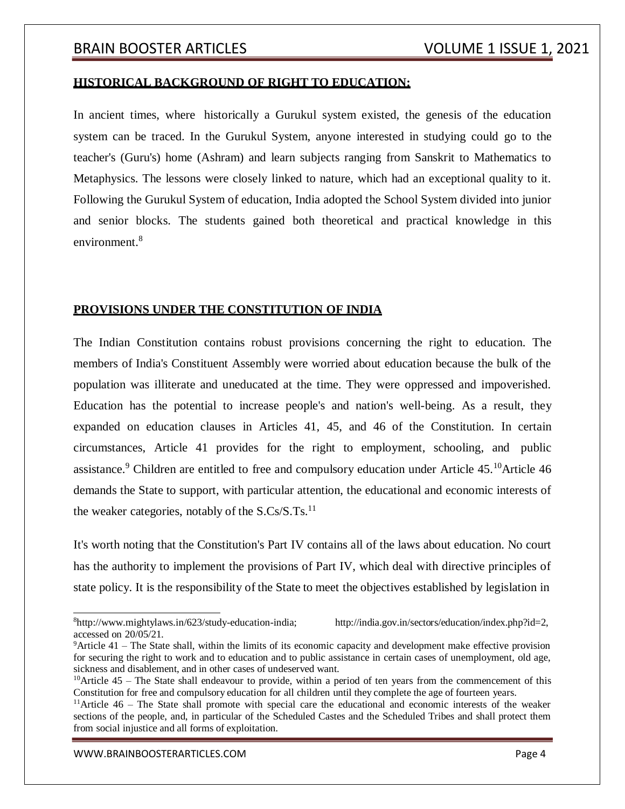#### **HISTORICAL BACKGROUND OF RIGHT TO EDUCATION:**

In ancient times, where historically a Gurukul system existed, the genesis of the education system can be traced. In the Gurukul System, anyone interested in studying could go to the teacher's (Guru's) home (Ashram) and learn subjects ranging from Sanskrit to Mathematics to Metaphysics. The lessons were closely linked to nature, which had an exceptional quality to it. Following the Gurukul System of education, India adopted the School System divided into junior and senior blocks. The students gained both theoretical and practical knowledge in this environment.<sup>8</sup>

#### **PROVISIONS UNDER THE CONSTITUTION OF INDIA**

The Indian Constitution contains robust provisions concerning the right to education. The members of India's Constituent Assembly were worried about education because the bulk of the population was illiterate and uneducated at the time. They were oppressed and impoverished. Education has the potential to increase people's and nation's well-being. As a result, they expanded on education clauses in Articles 41, 45, and 46 of the Constitution. In certain circumstances, Article 41 provides for the right to employment, schooling, and public assistance.<sup>9</sup> Children are entitled to free and compulsory education under Article 45.<sup>10</sup>Article 46 demands the State to support, with particular attention, the educational and economic interests of the weaker categories, notably of the  $S.Cs/S.Ts.<sup>11</sup>$ 

It's worth noting that the Constitution's Part IV contains all of the laws about education. No court has the authority to implement the provisions of Part IV, which deal with directive principles of state policy. It is the responsibility of the State to meet the objectives established by legislation in

 ${}^{8}$ [http://www.mightylaws.in/623/study-education-india;](http://www.mightylaws.in/623/study-education-india%3B) [http://india.gov.in/sectors/education/index.php?id=2,](http://india.gov.in/sectors/education/index.php?id=2) accessed on 20/05/21.

<sup>9</sup>Article 41 – The State shall, within the limits of its economic capacity and development make effective provision for securing the right to work and to education and to public assistance in certain cases of unemployment, old age, sickness and disablement, and in other cases of undeserved want.

 $10$ Article 45 – The State shall endeavour to provide, within a period of ten years from the commencement of this Constitution for free and compulsory education for all children until they complete the age of fourteen years.

 $11$ Article 46 – The State shall promote with special care the educational and economic interests of the weaker sections of the people, and, in particular of the Scheduled Castes and the Scheduled Tribes and shall protect them from social injustice and all forms of exploitation.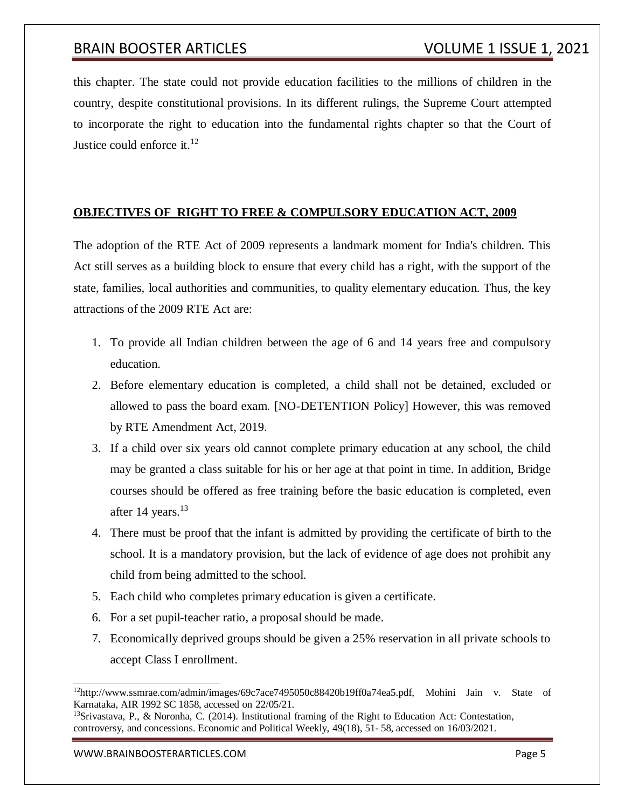this chapter. The state could not provide education facilities to the millions of children in the country, despite constitutional provisions. In its different rulings, the Supreme Court attempted to incorporate the right to education into the fundamental rights chapter so that the Court of Justice could enforce it. $^{12}$ 

## **OBJECTIVES OF RIGHT TO FREE & COMPULSORY EDUCATION ACT, 2009**

The adoption of the RTE Act of 2009 represents a landmark moment for India's children. This Act still serves as a building block to ensure that every child has a right, with the support of the state, families, local authorities and communities, to quality elementary education. Thus, the key attractions of the 2009 RTE Act are:

- 1. To provide all Indian children between the age of 6 and 14 years free and compulsory education.
- 2. Before elementary education is completed, a child shall not be detained, excluded or allowed to pass the board exam. [NO-DETENTION Policy] However, this was removed by RTE Amendment Act, 2019.
- 3. If a child over six years old cannot complete primary education at any school, the child may be granted a class suitable for his or her age at that point in time. In addition, Bridge courses should be offered as free training before the basic education is completed, even after 14 years. $13$
- 4. There must be proof that the infant is admitted by providing the certificate of birth to the school. It is a mandatory provision, but the lack of evidence of age does not prohibit any child from being admitted to the school.
- 5. Each child who completes primary education is given a certificate.
- 6. For a set pupil-teacher ratio, a proposalshould be made.
- 7. Economically deprived groups should be given a 25% reservation in all private schools to accept Class I enrollment.

<sup>&</sup>lt;sup>12</sup>[http://www.ssmrae.com/admin/images/69c7ace7495050c88420b19ff0a74ea5.pdf,](http://www.ssmrae.com/admin/images/69c7ace7495050c88420b19ff0a74ea5.pdf) Mohini Jain v. State of Karnataka, AIR 1992 SC 1858, accessed on 22/05/21.

<sup>&</sup>lt;sup>13</sup>Srivastava, P., & Noronha, C. (2014). Institutional framing of the Right to Education Act: Contestation, controversy, and concessions. Economic and Political Weekly, 49(18), 51- 58, accessed on 16/03/2021.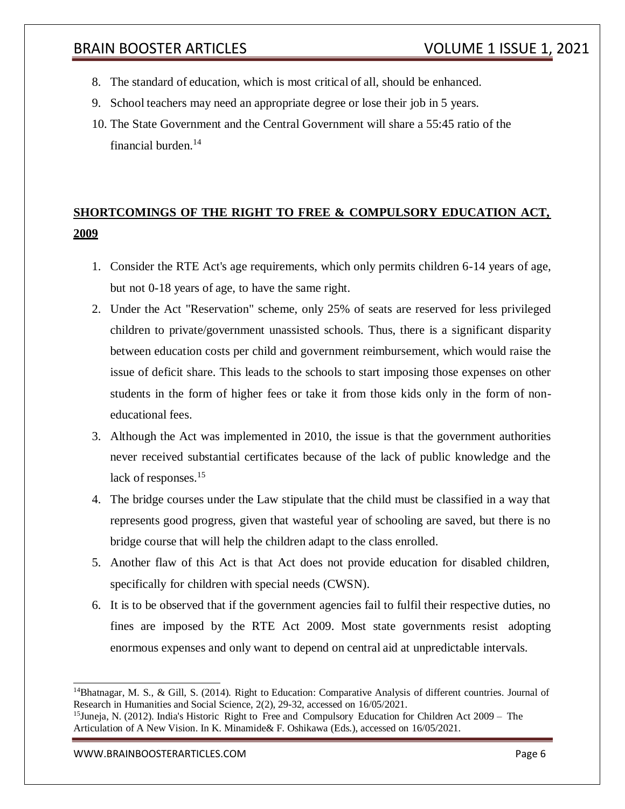- 8. The standard of education, which is most critical of all, should be enhanced.
- 9. School teachers may need an appropriate degree or lose their job in 5 years.
- 10. The State Government and the Central Government will share a 55:45 ratio of the financial burden.<sup>14</sup>

# **SHORTCOMINGS OF THE RIGHT TO FREE & COMPULSORY EDUCATION ACT, 2009**

- 1. Consider the RTE Act's age requirements, which only permits children 6-14 years of age, but not 0-18 years of age, to have the same right.
- 2. Under the Act "Reservation" scheme, only 25% of seats are reserved for less privileged children to private/government unassisted schools. Thus, there is a significant disparity between education costs per child and government reimbursement, which would raise the issue of deficit share. This leads to the schools to start imposing those expenses on other students in the form of higher fees or take it from those kids only in the form of noneducational fees.
- 3. Although the Act was implemented in 2010, the issue is that the government authorities never received substantial certificates because of the lack of public knowledge and the lack of responses.<sup>15</sup>
- 4. The bridge courses under the Law stipulate that the child must be classified in a way that represents good progress, given that wasteful year of schooling are saved, but there is no bridge course that will help the children adapt to the class enrolled.
- 5. Another flaw of this Act is that Act does not provide education for disabled children, specifically for children with special needs (CWSN).
- 6. It is to be observed that if the government agencies fail to fulfil their respective duties, no fines are imposed by the RTE Act 2009. Most state governments resist adopting enormous expenses and only want to depend on central aid at unpredictable intervals.

<sup>&</sup>lt;sup>14</sup>Bhatnagar, M. S., & Gill, S. (2014). Right to Education: Comparative Analysis of different countries. Journal of Research in Humanities and Social Science, 2(2), 29-32, accessed on 16/05/2021.

<sup>&</sup>lt;sup>15</sup>Juneja, N. (2012). India's Historic Right to Free and Compulsory Education for Children Act 2009 – The Articulation of A New Vision. In K. Minamide& F. Oshikawa (Eds.), accessed on 16/05/2021.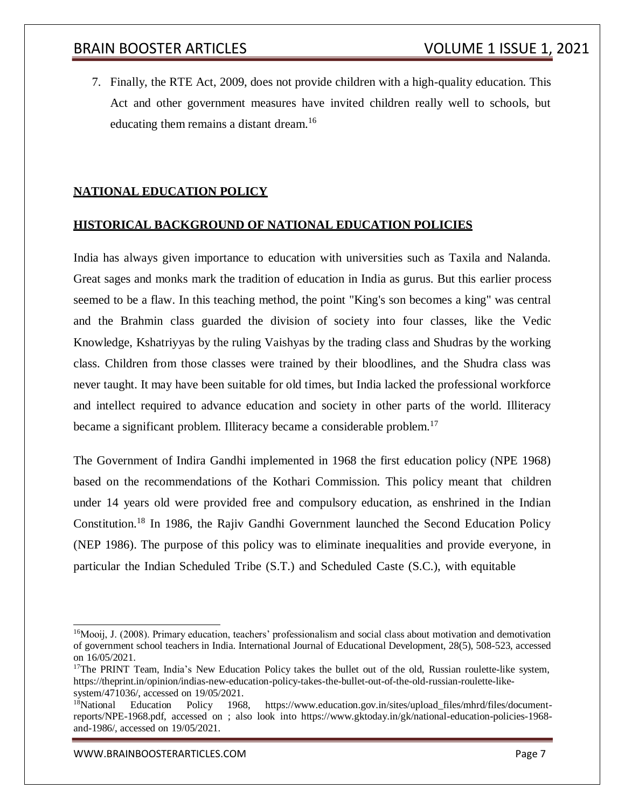7. Finally, the RTE Act, 2009, does not provide children with a high-quality education. This Act and other government measures have invited children really well to schools, but educating them remains a distant dream.<sup>16</sup>

## **NATIONAL EDUCATION POLICY**

## **HISTORICAL BACKGROUND OF NATIONAL EDUCATION POLICIES**

India has always given importance to education with universities such as Taxila and Nalanda. Great sages and monks mark the tradition of education in India as gurus. But this earlier process seemed to be a flaw. In this teaching method, the point "King's son becomes a king" was central and the Brahmin class guarded the division of society into four classes, like the Vedic Knowledge, Kshatriyyas by the ruling Vaishyas by the trading class and Shudras by the working class. Children from those classes were trained by their bloodlines, and the Shudra class was never taught. It may have been suitable for old times, but India lacked the professional workforce and intellect required to advance education and society in other parts of the world. Illiteracy became a significant problem. Illiteracy became a considerable problem.<sup>17</sup>

The Government of Indira Gandhi implemented in 1968 the first education policy (NPE 1968) based on the recommendations of the Kothari Commission. This policy meant that children under 14 years old were provided free and compulsory education, as enshrined in the Indian Constitution.<sup>18</sup> In 1986, the Rajiv Gandhi Government launched the Second Education Policy (NEP 1986). The purpose of this policy was to eliminate inequalities and provide everyone, in particular the Indian Scheduled Tribe (S.T.) and Scheduled Caste (S.C.), with equitable

<sup>&</sup>lt;sup>16</sup>Mooij, J. (2008). Primary education, teachers' professionalism and social class about motivation and demotivation of government school teachers in India. International Journal of Educational Development, 28(5), 508-523, accessed on 16/05/2021.

<sup>&</sup>lt;sup>17</sup>The PRINT Team, India's New Education Policy takes the bullet out of the old, Russian roulette-like system, https://theprint.in/opinion/indias-new-education-policy-takes-the-bullet-out-of-the-old-russian-roulette-likesystem/471036/, accessed on 19/05/2021.

<sup>&</sup>lt;sup>18</sup>National Education Policy 1968, https:/[/www.education.gov.in/sites/upload\\_files/mhrd/files/document](http://www.education.gov.in/sites/upload_files/mhrd/files/document-)reports/NPE-1968.pdf, accessed on ; also look into https:/[/www.gktoday.in/gk/national-education-policies-1968](http://www.gktoday.in/gk/national-education-policies-1968-) and-1986/, accessed on 19/05/2021.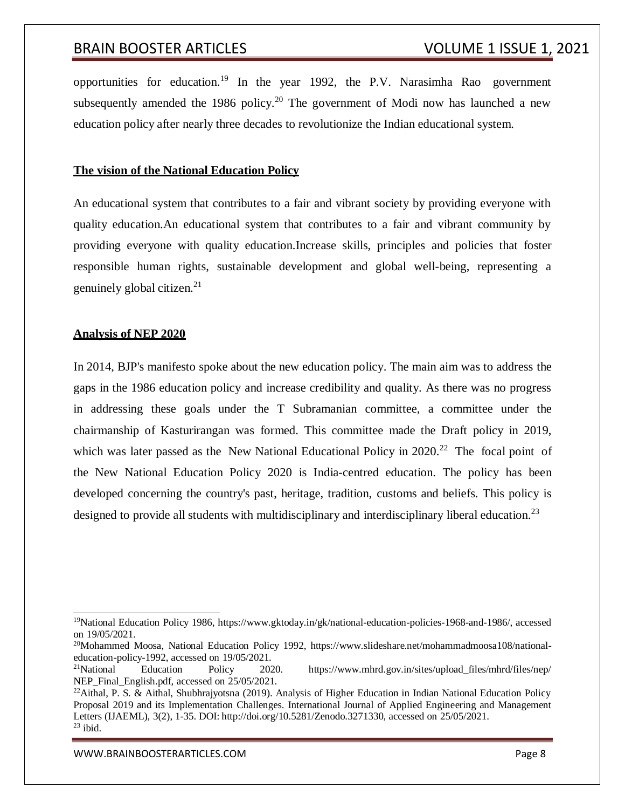opportunities for education.<sup>19</sup> In the year 1992, the P.V. Narasimha Rao government subsequently amended the 1986 policy.<sup>20</sup> The government of Modi now has launched a new education policy after nearly three decades to revolutionize the Indian educational system.

#### **The vision of the National Education Policy**

An educational system that contributes to a fair and vibrant society by providing everyone with quality education.An educational system that contributes to a fair and vibrant community by providing everyone with quality education.Increase skills, principles and policies that foster responsible human rights, sustainable development and global well-being, representing a genuinely global citizen.<sup>21</sup>

#### **Analysis of NEP 2020**

In 2014, BJP's manifesto spoke about the new education policy. The main aim was to address the gaps in the 1986 education policy and increase credibility and quality. As there was no progress in addressing these goals under the T Subramanian committee, a committee under the chairmanship of Kasturirangan was formed. This committee made the Draft policy in 2019, which was later passed as the New National Educational Policy in 2020.<sup>22</sup> The focal point of the New National Education Policy 2020 is India-centred education. The policy has been developed concerning the country's past, heritage, tradition, customs and beliefs. This policy is designed to provide all students with multidisciplinary and interdisciplinary liberal education.<sup>23</sup>

<sup>19</sup>National Education Policy 1986, https:/[/www.gktoday.in/gk/national-education-policies-1968-and-1986/, a](http://www.gktoday.in/gk/national-education-policies-1968-and-1986/)ccessed on 19/05/2021.

<sup>20</sup>Mohammed Moosa, National Education Policy 1992, https:/[/www.slideshare.net/mohammadmoosa108/national](http://www.slideshare.net/mohammadmoosa108/national-)education-policy-1992, accessed on 19/05/2021.

<sup>&</sup>lt;sup>21</sup>National Education Policy 2020. https:/[/www.mhrd.gov.in/sites/upload\\_files/mhrd/files/nep/](http://www.mhrd.gov.in/sites/upload_files/mhrd/files/nep/) NEP\_Final\_English.pdf, accessed on 25/05/2021.

<sup>&</sup>lt;sup>22</sup>Aithal, P. S. & Aithal, Shubhrajyotsna (2019). Analysis of Higher Education in Indian National Education Policy Proposal 2019 and its Implementation Challenges. International Journal of Applied Engineering and Management Letters (IJAEML), 3(2), 1-35. DOI: [http://doi.org/10.5281/Zenodo.3271330,](http://doi.org/10.5281/Zenodo.3271330) accessed on 25/05/2021.  $23$  ibid.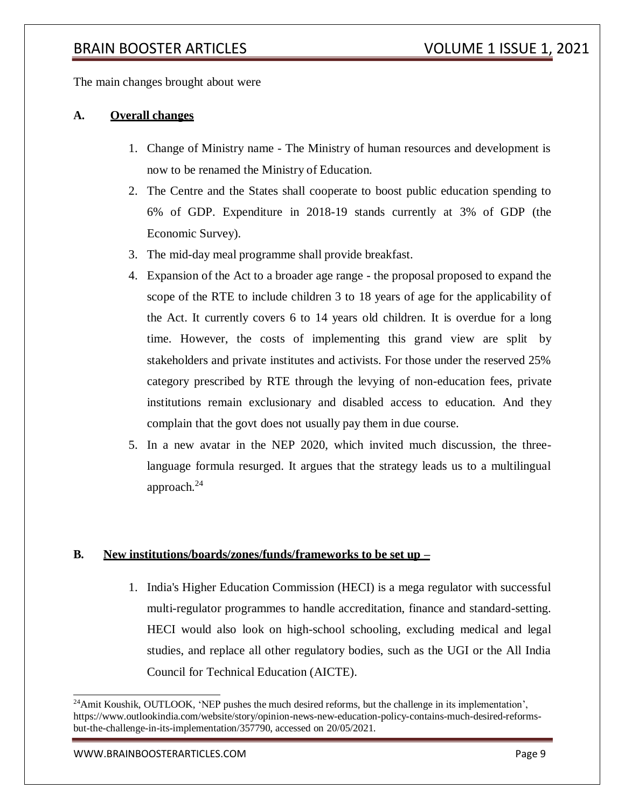The main changes brought about were

## **A. Overall changes**

- 1. Change of Ministry name The Ministry of human resources and development is now to be renamed the Ministry of Education.
- 2. The Centre and the States shall cooperate to boost public education spending to 6% of GDP. Expenditure in 2018-19 stands currently at 3% of GDP (the Economic Survey).
- 3. The mid-day meal programme shall provide breakfast.
- 4. Expansion of the Act to a broader age range the proposal proposed to expand the scope of the RTE to include children 3 to 18 years of age for the applicability of the Act. It currently covers 6 to 14 years old children. It is overdue for a long time. However, the costs of implementing this grand view are split by stakeholders and private institutes and activists. For those under the reserved 25% category prescribed by RTE through the levying of non-education fees, private institutions remain exclusionary and disabled access to education. And they complain that the govt does not usually pay them in due course.
- 5. In a new avatar in the NEP 2020, which invited much discussion, the threelanguage formula resurged. It argues that the strategy leads us to a multilingual approach. $^{24}$

## **B. New institutions/boards/zones/funds/frameworks to be set up –**

1. India's Higher Education Commission (HECI) is a mega regulator with successful multi-regulator programmes to handle accreditation, finance and standard-setting. HECI would also look on high-school schooling, excluding medical and legal studies, and replace all other regulatory bodies, such as the UGI or the All India Council for Technical Education (AICTE).

<sup>&</sup>lt;sup>24</sup>Amit Koushik, OUTLOOK, 'NEP pushes the much desired reforms, but the challenge in its implementation', https:/[/www.outlookindia.com/website/story/opinion-news-new-education-policy-contains-much-desired-reforms](http://www.outlookindia.com/website/story/opinion-news-new-education-policy-contains-much-desired-reforms-)but-the-challenge-in-its-implementation/357790, accessed on 20/05/2021.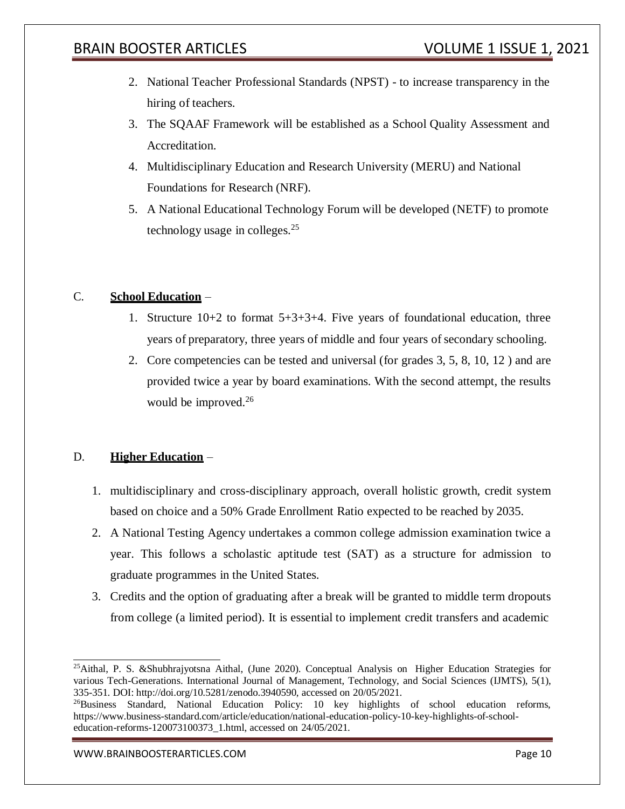- 2. National Teacher Professional Standards (NPST) to increase transparency in the hiring of teachers.
- 3. The SQAAF Framework will be established as a School Quality Assessment and Accreditation.
- 4. Multidisciplinary Education and Research University (MERU) and National Foundations for Research (NRF).
- 5. A National Educational Technology Forum will be developed (NETF) to promote technology usage in colleges.<sup>25</sup>

## C. **School Education** –

- 1. Structure 10+2 to format 5+3+3+4. Five years of foundational education, three years of preparatory, three years of middle and four years of secondary schooling.
- 2. Core competencies can be tested and universal (for grades 3, 5, 8, 10, 12 ) and are provided twice a year by board examinations. With the second attempt, the results would be improved.<sup>26</sup>

## D. **Higher Education** –

- 1. multidisciplinary and cross-disciplinary approach, overall holistic growth, credit system based on choice and a 50% Grade Enrollment Ratio expected to be reached by 2035.
- 2. A National Testing Agency undertakes a common college admission examination twice a year. This follows a scholastic aptitude test (SAT) as a structure for admission to graduate programmes in the United States.
- 3. Credits and the option of graduating after a break will be granted to middle term dropouts from college (a limited period). It is essential to implement credit transfers and academic

<sup>25</sup>Aithal, P. S. &Shubhrajyotsna Aithal, (June 2020). Conceptual Analysis on Higher Education Strategies for various Tech-Generations. International Journal of Management, Technology, and Social Sciences (IJMTS), 5(1), 335-351. DOI: [http://doi.org/10.5281/zenodo.3940590,](http://doi.org/10.5281/zenodo.3940590) accessed on 20/05/2021.

<sup>&</sup>lt;sup>26</sup>Business Standard, National Education Policy: 10 key highlights of school education reforms, https:/[/www.business-standard.com/article/education/national-education-policy-10-key-highlights-of-school](http://www.business-standard.com/article/education/national-education-policy-10-key-highlights-of-school-)education-reforms-120073100373\_1.html, accessed on 24/05/2021.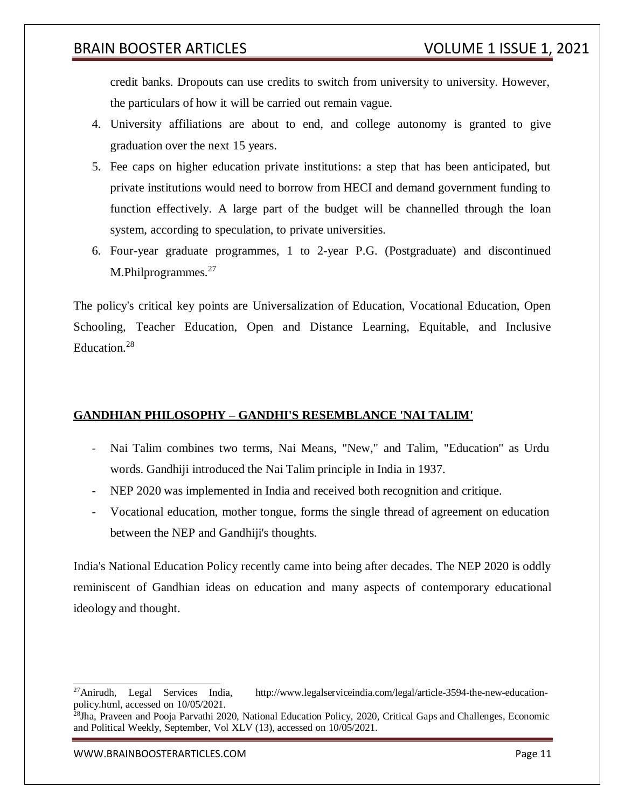credit banks. Dropouts can use credits to switch from university to university. However, the particulars of how it will be carried out remain vague.

- 4. University affiliations are about to end, and college autonomy is granted to give graduation over the next 15 years.
- 5. Fee caps on higher education private institutions: a step that has been anticipated, but private institutions would need to borrow from HECI and demand government funding to function effectively. A large part of the budget will be channelled through the loan system, according to speculation, to private universities.
- 6. Four-year graduate programmes, 1 to 2-year P.G. (Postgraduate) and discontinued M.Philprogrammes.<sup>27</sup>

The policy's critical key points are Universalization of Education, Vocational Education, Open Schooling, Teacher Education, Open and Distance Learning, Equitable, and Inclusive Education.<sup>28</sup>

## **GANDHIAN PHILOSOPHY – GANDHI'S RESEMBLANCE 'NAI TALIM'**

- Nai Talim combines two terms, Nai Means, "New," and Talim, "Education" as Urdu words. Gandhiji introduced the Nai Talim principle in India in 1937.
- NEP 2020 was implemented in India and received both recognition and critique.
- Vocational education, mother tongue, forms the single thread of agreement on education between the NEP and Gandhiji's thoughts.

India's National Education Policy recently came into being after decades. The NEP 2020 is oddly reminiscent of Gandhian ideas on education and many aspects of contemporary educational ideology and thought.

<sup>27</sup>Anirudh, Legal Services India, [http://www.legalserviceindia.com/legal/article-3594-the-new-education](http://www.legalserviceindia.com/legal/article-3594-the-new-education-)policy.html, accessed on 10/05/2021.

<sup>&</sup>lt;sup>28</sup>Jha, Praveen and Pooja Parvathi 2020, National Education Policy, 2020, Critical Gaps and Challenges, Economic and Political Weekly, September, Vol XLV (13), accessed on 10/05/2021.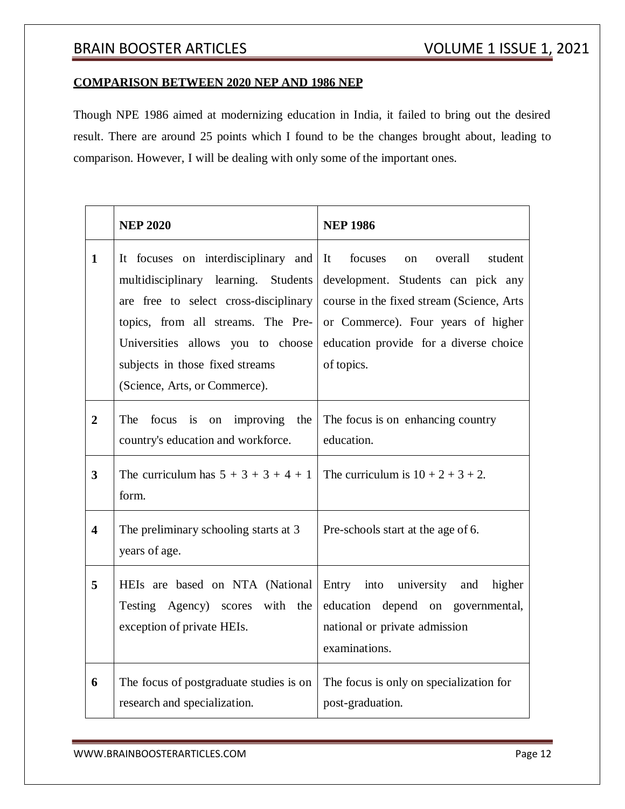## **COMPARISON BETWEEN 2020 NEP AND 1986 NEP**

Though NPE 1986 aimed at modernizing education in India, it failed to bring out the desired result. There are around 25 points which I found to be the changes brought about, leading to comparison. However, I will be dealing with only some of the important ones.

|                         | <b>NEP 2020</b>                                                                                                                                                                                                                                                     | <b>NEP 1986</b>                                                                                                                                                                                                         |
|-------------------------|---------------------------------------------------------------------------------------------------------------------------------------------------------------------------------------------------------------------------------------------------------------------|-------------------------------------------------------------------------------------------------------------------------------------------------------------------------------------------------------------------------|
| $\mathbf{1}$            | It focuses on interdisciplinary and<br>multidisciplinary learning. Students<br>are free to select cross-disciplinary<br>topics, from all streams. The Pre-<br>Universities allows you to choose<br>subjects in those fixed streams<br>(Science, Arts, or Commerce). | focuses<br>on overall<br>student<br>It<br>development. Students can pick any<br>course in the fixed stream (Science, Arts<br>or Commerce). Four years of higher<br>education provide for a diverse choice<br>of topics. |
| $\overline{2}$          | The<br>focus is on improving the<br>country's education and workforce.                                                                                                                                                                                              | The focus is on enhancing country<br>education.                                                                                                                                                                         |
| $\overline{3}$          | The curriculum has $5 + 3 + 3 + 4 + 1$<br>form.                                                                                                                                                                                                                     | The curriculum is $10 + 2 + 3 + 2$ .                                                                                                                                                                                    |
| $\overline{\mathbf{4}}$ | The preliminary schooling starts at 3<br>years of age.                                                                                                                                                                                                              | Pre-schools start at the age of 6.                                                                                                                                                                                      |
| 5                       | HEIs are based on NTA (National<br>Testing Agency) scores with<br>the<br>exception of private HEIs.                                                                                                                                                                 | Entry into university and<br>higher<br>education depend on governmental,<br>national or private admission<br>examinations.                                                                                              |
| 6                       | The focus of postgraduate studies is on<br>research and specialization.                                                                                                                                                                                             | The focus is only on specialization for<br>post-graduation.                                                                                                                                                             |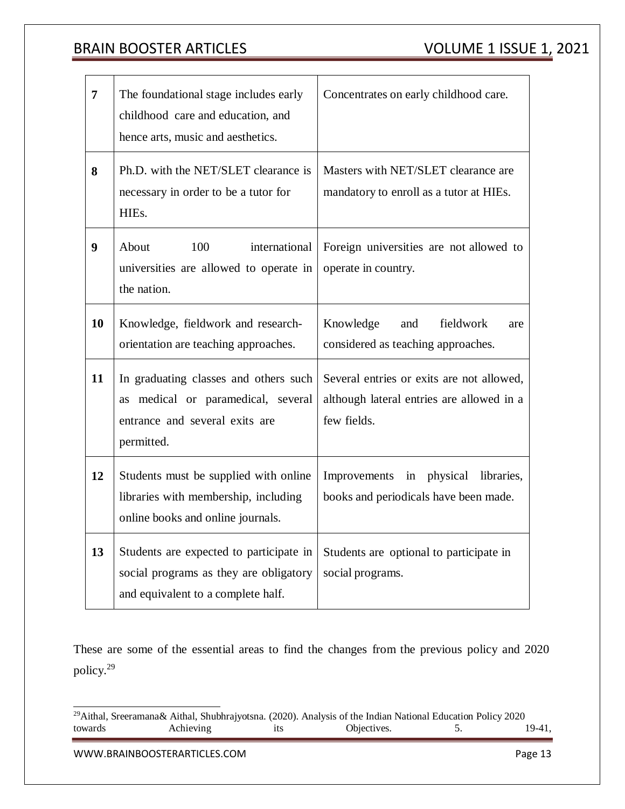| $\overline{7}$   | The foundational stage includes early<br>childhood care and education, and<br>hence arts, music and aesthetics.             | Concentrates on early childhood care.                                                                 |
|------------------|-----------------------------------------------------------------------------------------------------------------------------|-------------------------------------------------------------------------------------------------------|
| 8                | Ph.D. with the NET/SLET clearance is<br>necessary in order to be a tutor for<br>HIEs.                                       | Masters with NET/SLET clearance are<br>mandatory to enroll as a tutor at HIEs.                        |
| $\boldsymbol{9}$ | About<br>100<br>international<br>universities are allowed to operate in<br>the nation.                                      | Foreign universities are not allowed to<br>operate in country.                                        |
| 10               | Knowledge, fieldwork and research-<br>orientation are teaching approaches.                                                  | fieldwork<br>Knowledge<br>and<br>are<br>considered as teaching approaches.                            |
| 11               | In graduating classes and others such<br>as medical or paramedical, several<br>entrance and several exits are<br>permitted. | Several entries or exits are not allowed,<br>although lateral entries are allowed in a<br>few fields. |
| 12               | Students must be supplied with online<br>libraries with membership, including<br>online books and online journals.          | Improvements<br>physical libraries,<br>in<br>books and periodicals have been made.                    |
| 13               | Students are expected to participate in<br>social programs as they are obligatory<br>and equivalent to a complete half.     | Students are optional to participate in<br>social programs.                                           |

These are some of the essential areas to find the changes from the previous policy and 2020 policy.<sup>29</sup>

<sup>&</sup>lt;sup>29</sup>Aithal, Sreeramana& Aithal, Shubhrajyotsna. (2020). Analysis of the Indian National Education Policy 2020<br>towards Achieving its Objectives. 5. towards Achieving its Objectives. 5. 19-41,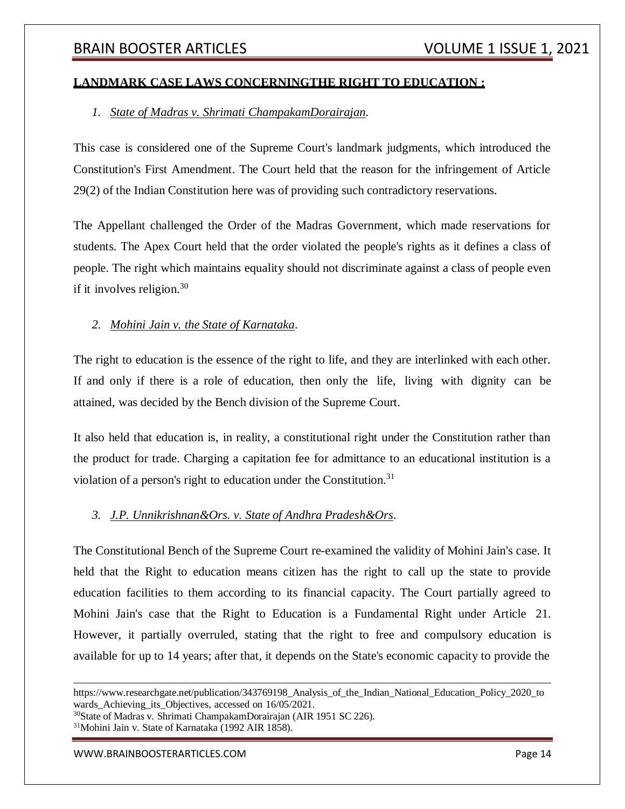## **LANDMARK CASE LAWS CONCERNINGTHE RIGHT TO EDUCATION :**

## *1. State of Madras v. Shrimati ChampakamDorairajan.*

This case is considered one of the Supreme Court's landmark judgments, which introduced the Constitution's First Amendment. The Court held that the reason for the infringement of Article 29(2) of the Indian Constitution here was of providing such contradictory reservations.

The Appellant challenged the Order of the Madras Government, which made reservations for students. The Apex Court held that the order violated the people's rights as it defines a class of people. The right which maintains equality should not discriminate against a class of people even if it involves religion.  $30<sup>30</sup>$ 

## *2. Mohini Jain v. the State of Karnataka*.

The right to education is the essence of the right to life, and they are interlinked with each other. If and only if there is a role of education, then only the life, living with dignity can be attained, was decided by the Bench division of the Supreme Court.

It also held that education is, in reality, a constitutional right under the Constitution rather than the product for trade. Charging a capitation fee for admittance to an educational institution is a violation of a person's right to education under the Constitution.<sup>31</sup>

## *3. J.P. Unnikrishnan&Ors. v. State of Andhra Pradesh&Ors*.

The Constitutional Bench of the Supreme Court re-examined the validity of Mohini Jain's case. It held that the Right to education means citizen has the right to call up the state to provide education facilities to them according to its financial capacity. The Court partially agreed to Mohini Jain's case that the Right to Education is a Fundamental Right under Article 21. However, it partially overruled, stating that the right to free and compulsory education is available for up to 14 years; after that, it depends on the State's economic capacity to provide the

<sup>30</sup>State of Madras v. Shrimati ChampakamDorairajan (AIR 1951 SC 226).

<sup>31</sup>Mohini Jain v. State of Karnataka (1992 AIR 1858).

https://www.researchgate.net/publication/343769198 Analysis of the Indian National Education Policy 2020 to wards Achieving its Objectives, accessed on  $16/05/2021$ .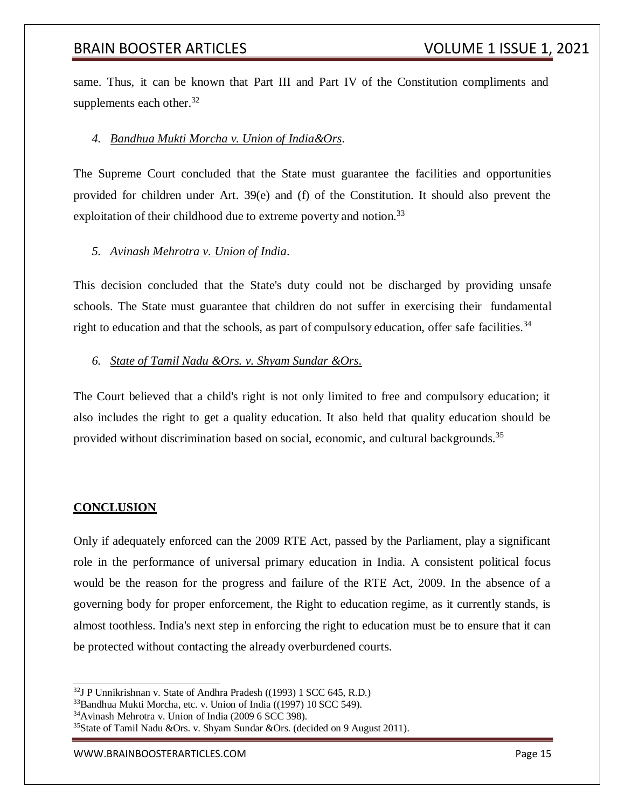same. Thus, it can be known that Part III and Part IV of the Constitution compliments and supplements each other. $32$ 

## *4. Bandhua Mukti Morcha v. Union of India&Ors*.

The Supreme Court concluded that the State must guarantee the facilities and opportunities provided for children under Art. 39(e) and (f) of the Constitution. It should also prevent the exploitation of their childhood due to extreme poverty and notion.<sup>33</sup>

## *5. Avinash Mehrotra v. Union of India*.

This decision concluded that the State's duty could not be discharged by providing unsafe schools. The State must guarantee that children do not suffer in exercising their fundamental right to education and that the schools, as part of compulsory education, offer safe facilities.<sup>34</sup>

#### *6. State of Tamil Nadu &Ors. v. Shyam Sundar &Ors.*

The Court believed that a child's right is not only limited to free and compulsory education; it also includes the right to get a quality education. It also held that quality education should be provided without discrimination based on social, economic, and cultural backgrounds.<sup>35</sup>

## **CONCLUSION**

Only if adequately enforced can the 2009 RTE Act, passed by the Parliament, play a significant role in the performance of universal primary education in India. A consistent political focus would be the reason for the progress and failure of the RTE Act, 2009. In the absence of a governing body for proper enforcement, the Right to education regime, as it currently stands, is almost toothless. India's next step in enforcing the right to education must be to ensure that it can be protected without contacting the already overburdened courts.

 $32$ J P Unnikrishnan v. State of Andhra Pradesh ((1993) 1 SCC 645, R.D.)

<sup>33</sup>Bandhua Mukti Morcha, etc. v. Union of India ((1997) 10 SCC 549).

<sup>34</sup>Avinash Mehrotra v. Union of India (2009 6 SCC 398).

<sup>&</sup>lt;sup>35</sup>State of Tamil Nadu &Ors. v. Shyam Sundar &Ors. (decided on 9 August 2011).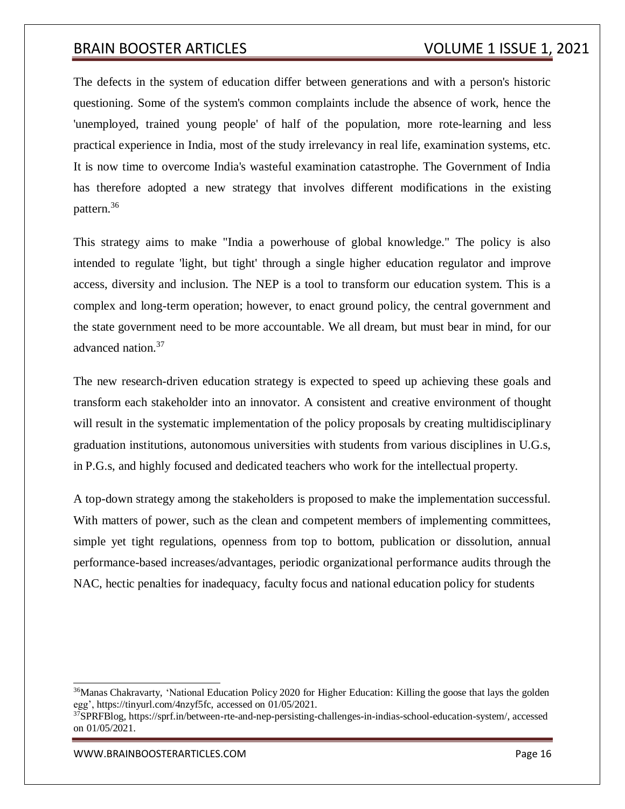The defects in the system of education differ between generations and with a person's historic questioning. Some of the system's common complaints include the absence of work, hence the 'unemployed, trained young people' of half of the population, more rote-learning and less practical experience in India, most of the study irrelevancy in real life, examination systems, etc. It is now time to overcome India's wasteful examination catastrophe. The Government of India has therefore adopted a new strategy that involves different modifications in the existing pattern.<sup>36</sup>

This strategy aims to make "India a powerhouse of global knowledge." The policy is also intended to regulate 'light, but tight' through a single higher education regulator and improve access, diversity and inclusion. The NEP is a tool to transform our education system. This is a complex and long-term operation; however, to enact ground policy, the central government and the state government need to be more accountable. We all dream, but must bear in mind, for our advanced nation.<sup>37</sup>

The new research-driven education strategy is expected to speed up achieving these goals and transform each stakeholder into an innovator. A consistent and creative environment of thought will result in the systematic implementation of the policy proposals by creating multidisciplinary graduation institutions, autonomous universities with students from various disciplines in U.G.s, in P.G.s, and highly focused and dedicated teachers who work for the intellectual property.

A top-down strategy among the stakeholders is proposed to make the implementation successful. With matters of power, such as the clean and competent members of implementing committees, simple yet tight regulations, openness from top to bottom, publication or dissolution, annual performance-based increases/advantages, periodic organizational performance audits through the NAC, hectic penalties for inadequacy, faculty focus and national education policy for students

<sup>&</sup>lt;sup>36</sup>Manas Chakravarty, 'National Education Policy 2020 for Higher Education: Killing the goose that lays the golden egg', https://tinyurl.com/4nzyf5fc, accessed on 01/05/2021.

 $37$ SPRFBlog, https://sprf.in/between-rte-and-nep-persisting-challenges-in-indias-school-education-system/, accessed on 01/05/2021.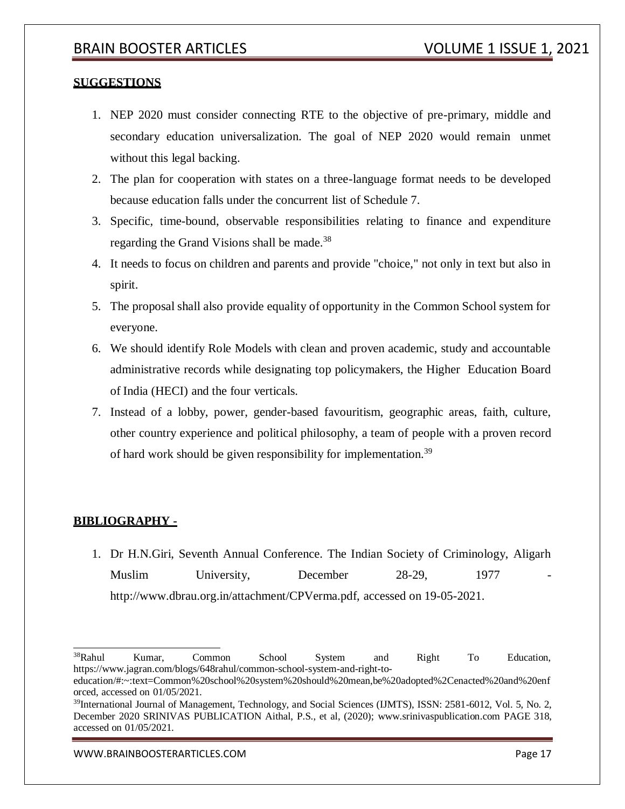## **SUGGESTIONS**

- 1. NEP 2020 must consider connecting RTE to the objective of pre-primary, middle and secondary education universalization. The goal of NEP 2020 would remain unmet without this legal backing.
- 2. The plan for cooperation with states on a three-language format needs to be developed because education falls under the concurrent list of Schedule 7.
- 3. Specific, time-bound, observable responsibilities relating to finance and expenditure regarding the Grand Visions shall be made.<sup>38</sup>
- 4. It needs to focus on children and parents and provide "choice," not only in text but also in spirit.
- 5. The proposal shall also provide equality of opportunity in the Common School system for everyone.
- 6. We should identify Role Models with clean and proven academic, study and accountable administrative records while designating top policymakers, the Higher Education Board of India (HECI) and the four verticals.
- 7. Instead of a lobby, power, gender-based favouritism, geographic areas, faith, culture, other country experience and political philosophy, a team of people with a proven record of hard work should be given responsibility for implementation.<sup>39</sup>

## **BIBLIOGRAPHY -**

1. Dr H.N.Giri, Seventh Annual Conference. The Indian Society of Criminology, Aligarh Muslim University, December 28-29, 1977 [http://www.dbrau.org.in/attachment/CPVerma.pdf,](http://www.dbrau.org.in/attachment/CPVerma.pdf) accessed on 19-05-2021.

<sup>&</sup>lt;sup>38</sup>Rahul Kumar, Common School System and Right To Education, https:/[/www.jagran.com/blogs/648rahul/common-school-system-and-right-to-](http://www.jagran.com/blogs/648rahul/common-school-system-and-right-to-)

education/#:~:text=Common%20school%20system%20should%20mean,be%20adopted%2Cenacted%20and%20enf orced, accessed on 01/05/2021.

<sup>&</sup>lt;sup>39</sup>International Journal of Management, Technology, and Social Sciences (IJMTS), ISSN: 2581-6012, Vol. 5, No. 2, December 2020 SRINIVAS PUBLICATION Aithal, P.S., et al, (2020); [www.srinivaspublication.com P](http://www.srinivaspublication.com/)AGE 318, accessed on 01/05/2021.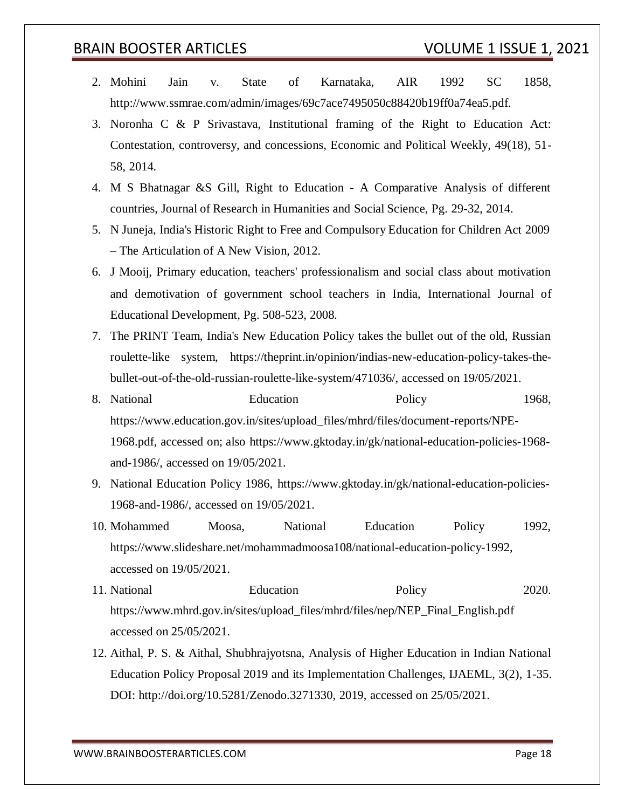- 2. Mohini Jain v. State of Karnataka, AIR 1992 SC 1858, [http://www.ssmrae.com/admin/images/69c7ace7495050c88420b19ff0a74ea5.pdf.](http://www.ssmrae.com/admin/images/69c7ace7495050c88420b19ff0a74ea5.pdf)
- 3. Noronha C & P Srivastava, Institutional framing of the Right to Education Act: Contestation, controversy, and concessions, Economic and Political Weekly, 49(18), 51- 58, 2014.
- 4. M S Bhatnagar &S Gill, Right to Education A Comparative Analysis of different countries, Journal of Research in Humanities and Social Science, Pg. 29-32, 2014.
- 5. N Juneja, India's Historic Right to Free and Compulsory Education for Children Act 2009 – The Articulation of A New Vision, 2012.
- 6. J Mooij, Primary education, teachers' professionalism and social class about motivation and demotivation of government school teachers in India, International Journal of Educational Development, Pg. 508-523, 2008.
- 7. The PRINT Team, India's New Education Policy takes the bullet out of the old, Russian roulette-like system, https://theprint.in/opinion/indias-new-education-policy-takes-thebullet-out-of-the-old-russian-roulette-like-system/471036/, accessed on 19/05/2021.
- 8. National Education Policy 1968, https:[//www.education.gov.in/sites/upload\\_files/mhrd/files/document-reports/NPE-](http://www.education.gov.in/sites/upload_files/mhrd/files/document-reports/NPE-)1968.pdf, accessed on; also https:[//www.gktoday.in/gk/national-education-policies-1968](http://www.gktoday.in/gk/national-education-policies-1968-) and-1986/, accessed on 19/05/2021.
- 9. National Education Policy 1986, https:[//www.gktoday.in/gk/national-education-policies-](http://www.gktoday.in/gk/national-education-policies-)1968-and-1986/, accessed on 19/05/2021.
- 10. Mohammed Moosa, National Education Policy 1992, https:[//www.slideshare.net/mohammadmoosa108/national-education-policy-1992,](http://www.slideshare.net/mohammadmoosa108/national-education-policy-1992) accessed on 19/05/2021.
- 11. National Education Policy 2020. https:[//www.mhrd.gov.in/sites/upload\\_files/mhrd/files/nep/NEP\\_Final\\_English.pdf](http://www.mhrd.gov.in/sites/upload_files/mhrd/files/nep/NEP_Final_English.pdf) accessed on 25/05/2021.
- 12. Aithal, P. S. & Aithal, Shubhrajyotsna, Analysis of Higher Education in Indian National Education Policy Proposal 2019 and its Implementation Challenges, IJAEML, 3(2), 1-35. DOI: [http://doi.org/10.5281/Zenodo.3271330,](http://doi.org/10.5281/Zenodo.3271330) 2019, accessed on 25/05/2021.